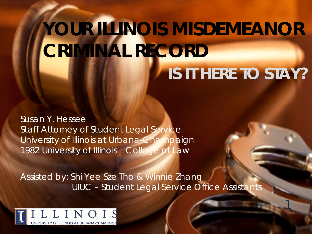# **YOUR ILLINOIS MISDEMEANOR CRIMINAL RECORD** *IS IT HERE TO STAY?*

1

Susan Y. Hessee Staff Attorney of Student Legal Service University of Illinois at Urbana-Champaign 1982 University of Illinois – College of Law

Assisted by: Shi Yee Sze Tho & Winnie Zhang UIUC – Student Legal Service Office Assistants

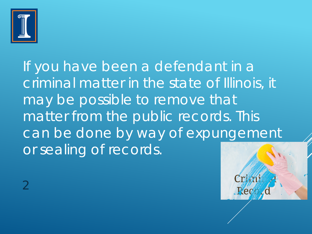

If you have been a defendant in a criminal matter in the state of Illinois, it may be possible to remove that matter from the public records. This can be done by way of expungement or sealing of records.

Pe

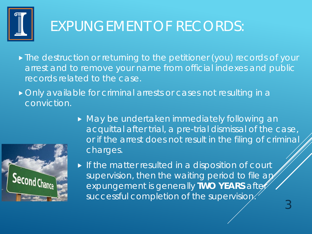

# EXPUNGEMENT OF RECORDS:

- **The destruction or returning to the petitioner (you) records of your** arrest and to remove your name from official indexes and public records related to the case.
- Only available for criminal arrests or cases not resulting in a conviction.



 May be undertaken immediately following an acquittal after trial, a pre-trial dismissal of the case, or if the arrest does not result in the filing of criminal charges.

3

If the matter resulted in a disposition of court supervision, then the waiting period to file an expungement is generally **TWO YEARS** after successful completion of the supervision.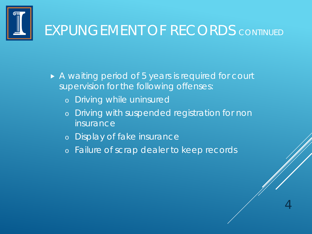

#### EXPUNGEMENT OF RECORDS *CONTINUED*

- A waiting period of 5 years is required for court supervision for the following offenses:
	- o Driving while uninsured
	- o Driving with suspended registration for non **insurance**

- o Display of fake insurance
- o Failure of scrap dealer to keep records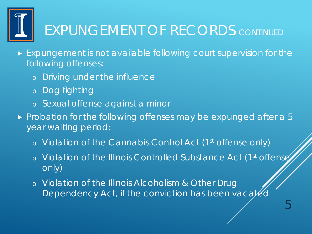

# EXPUNGEMENT OF RECORDS *CONTINUED*

- **Expungement is not available following court supervision for the** following offenses:
	- o Driving under the influence
	- o Dog fighting
	- o Sexual offense against a minor
- $\triangleright$  Probation for the following offenses may be expunged after a 5 year waiting period:
	- o Violation of the Cannabis Control Act (1st offense only)
	- o Violation of the Illinois Controlled Substance Act (1st offense) only)
	- o Violation of the Illinois Alcoholism & Other Drug Dependency Act, if the conviction has been vacated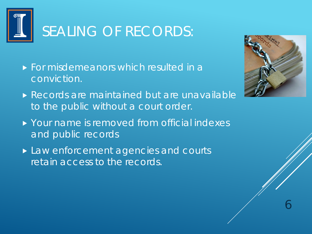

# SEALING OF RECORDS:

- **For misdemeanors which resulted in a** conviction.
- Records are maintained but are unavailable to the public without a court order.
- ▶ Your name is removed from official indexes and public records
- ▶ Law enforcement agencies and courts retain access to the records.

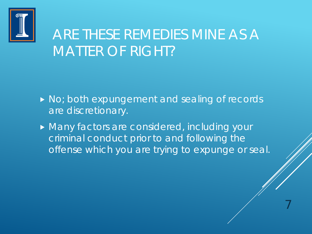

#### ARE THESE REMEDIES MINE AS A MATTER OF RIGHT?

- No; both expungement and sealing of records are discretionary.
- **Many factors are considered, including your** criminal conduct prior to and following the offense which you are trying to expunge or seal.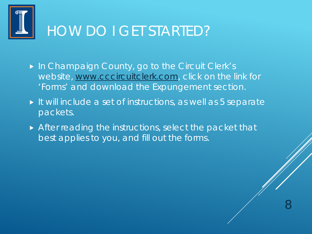

#### HOW DO I GET STARTED?

- ▶ In Champaign County, go to the Circuit Clerk's website, [www.cccircuitclerk.com,](http://www.cccircuitclerk.com/) click on the link for 'Forms' and download the Expungement section.
- If will include a set of instructions, as well as 5 separate packets.
- After reading the instructions, select the packet that best applies to you, and fill out the forms.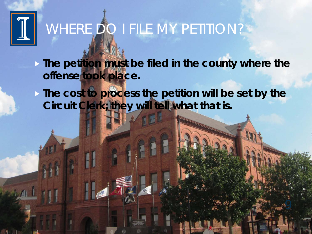

# WHERE DO I FILE MY PETITION?

**The petition must be filed in the county where the offense took place.**

**The cost to process the petition will be set by the Circuit Clerk; they will tell what that is.**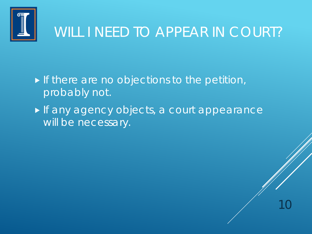

#### WILL I NEED TO APPEAR IN COURT?

10

If there are no objections to the petition, probably not.

If any agency objects, a court appearance will be necessary.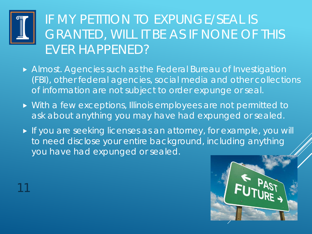

11

#### IF MY PETITION TO EXPUNGE/SEAL IS GRANTED, WILL IT BE AS IF NONE OF THIS EVER HAPPENED?

- Almost. Agencies such as the Federal Bureau of Investigation (FBI), other federal agencies, social media and other collections of information are not subject to order expunge or seal.
- With a few exceptions, Illinois employees are not permitted to ask about anything you may have had expunged or sealed.
- If you are seeking licenses as an attorney, for example, you will to need disclose your entire background, including anything you have had expunged or sealed.

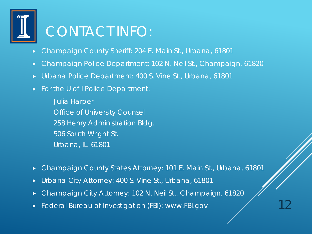

#### CONTACT INFO:

- Champaign County Sheriff: 204 E. Main St., Urbana, 61801
- Champaign Police Department: 102 N. Neil St., Champaign, 61820
- Urbana Police Department: 400 S. Vine St., Urbana, 61801
- ▶ For the U of I Police Department:

Julia Harper Office of University Counsel 258 Henry Administration Bldg. 506 South Wright St. Urbana, IL 61801

- ▶ Champaign County States Attorney: 101 E. Main St., Urbana, 61801
- ▶ Urbana City Attorney: 400 S. Vine St., Urbana, 61801
- ▶ Champaign City Attorney: 102 N. Neil St., Champaign, 61820
- **Federal Bureau of Investigation (FBI): www.FBI.gov**